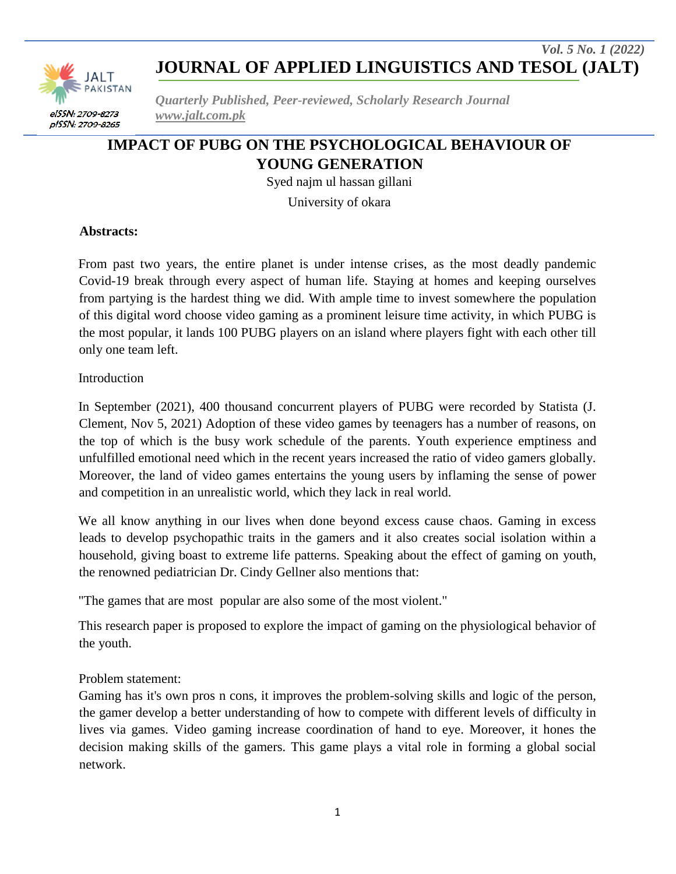

*Quarterly Published, Peer-reviewed, Scholarly Research Journal www.jalt.com.pk*

# **IMPACT OF PUBG ON THE PSYCHOLOGICAL BEHAVIOUR OF YOUNG GENERATION**

Syed najm ul hassan gillani

University of okara

#### **Abstracts:**

From past two years, the entire planet is under intense crises, as the most deadly pandemic Covid-19 break through every aspect of human life. Staying at homes and keeping ourselves from partying is the hardest thing we did. With ample time to invest somewhere the population of this digital word choose video gaming as a prominent leisure time activity, in which PUBG is the most popular, it lands 100 PUBG players on an island where players fight with each other till only one team left.

Introduction

In September (2021), 400 thousand concurrent players of PUBG were recorded by Statista (J. Clement, Nov 5, 2021) Adoption of these video games by teenagers has a number of reasons, on the top of which is the busy work schedule of the parents. Youth experience emptiness and unfulfilled emotional need which in the recent years increased the ratio of video gamers globally. Moreover, the land of video games entertains the young users by inflaming the sense of power and competition in an unrealistic world, which they lack in real world.

We all know anything in our lives when done beyond excess cause chaos. Gaming in excess leads to develop psychopathic traits in the gamers and it also creates social isolation within a household, giving boast to extreme life patterns. Speaking about the effect of gaming on youth, the renowned pediatrician Dr. Cindy Gellner also mentions that:

"The games that are most popular are also some of the most violent."

This research paper is proposed to explore the impact of gaming on the physiological behavior of the youth.

### Problem statement:

Gaming has it's own pros n cons, it improves the problem-solving skills and logic of the person, the gamer develop a better understanding of how to compete with different levels of difficulty in lives via games. Video gaming increase coordination of hand to eye. Moreover, it hones the decision making skills of the gamers. This game plays a vital role in forming a global social network.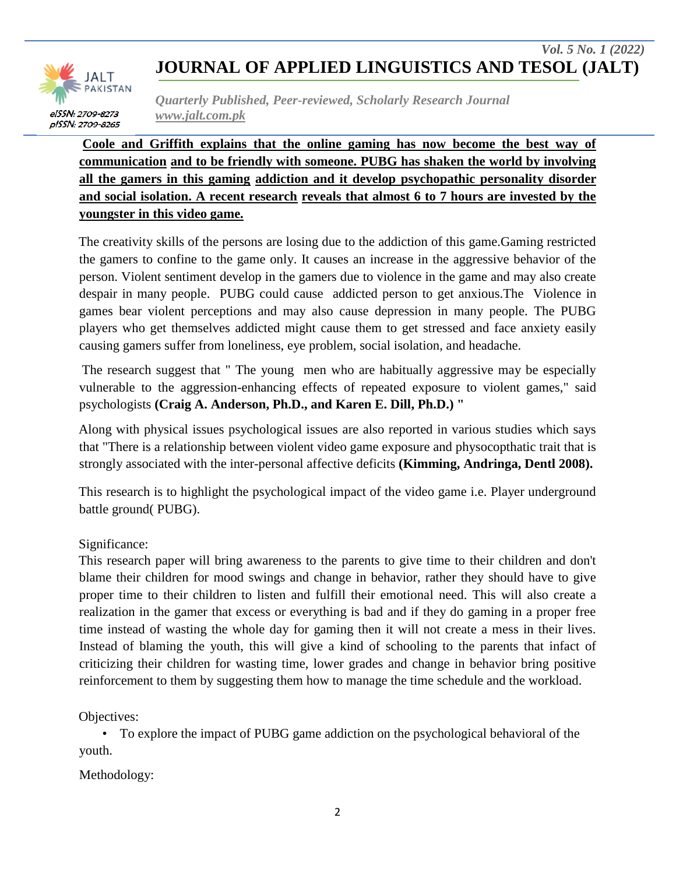

*Quarterly Published, Peer-reviewed, Scholarly Research Journal www.jalt.com.pk*

**Coole and Griffith explains that the online gaming has now become the best way of communication and to be friendly with someone. PUBG has shaken the world by involving all the gamers in this gaming addiction and it develop psychopathic personality disorder and social isolation. A recent research reveals that almost 6 to 7 hours are invested by the youngster in this video game.**

The creativity skills of the persons are losing due to the addiction of this game.Gaming restricted the gamers to confine to the game only. It causes an increase in the aggressive behavior of the person. Violent sentiment develop in the gamers due to violence in the game and may also create despair in many people. PUBG could cause addicted person to get anxious.The Violence in games bear violent perceptions and may also cause depression in many people. The PUBG players who get themselves addicted might cause them to get stressed and face anxiety easily causing gamers suffer from loneliness, eye problem, social isolation, and headache.

The research suggest that " The young men who are habitually aggressive may be especially vulnerable to the aggression-enhancing effects of repeated exposure to violent games," said psychologists **(Craig A. Anderson, Ph.D., and Karen E. Dill, Ph.D.) "** 

Along with physical issues psychological issues are also reported in various studies which says that "There is a relationship between violent video game exposure and physocopthatic trait that is strongly associated with the inter-personal affective deficits **(Kimming, Andringa, Dentl 2008).** 

This research is to highlight the psychological impact of the video game i.e. Player underground battle ground( PUBG).

### Significance:

This research paper will bring awareness to the parents to give time to their children and don't blame their children for mood swings and change in behavior, rather they should have to give proper time to their children to listen and fulfill their emotional need. This will also create a realization in the gamer that excess or everything is bad and if they do gaming in a proper free time instead of wasting the whole day for gaming then it will not create a mess in their lives. Instead of blaming the youth, this will give a kind of schooling to the parents that infact of criticizing their children for wasting time, lower grades and change in behavior bring positive reinforcement to them by suggesting them how to manage the time schedule and the workload.

Objectives:

• To explore the impact of PUBG game addiction on the psychological behavioral of the youth.

Methodology: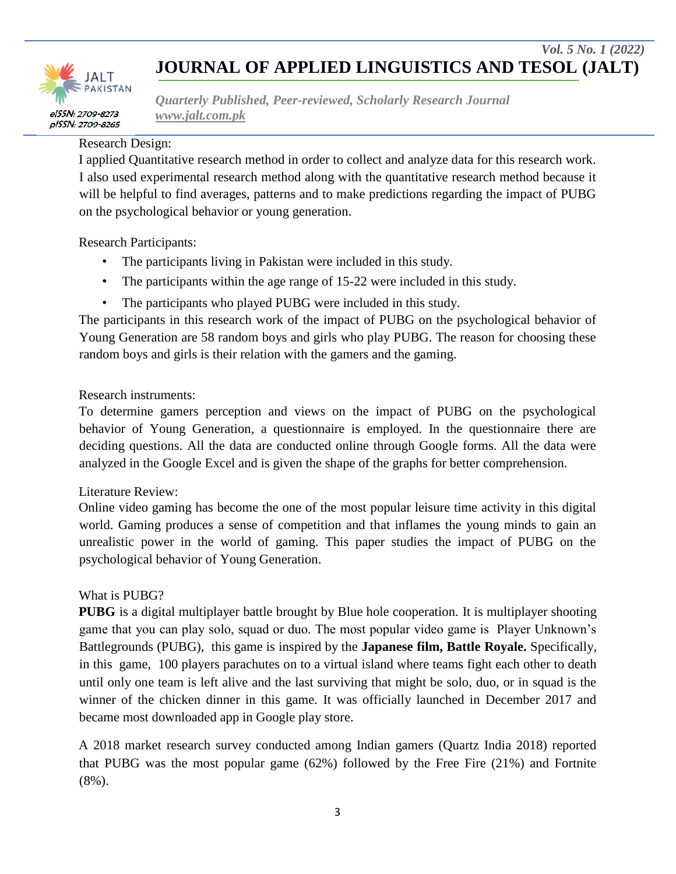

*Quarterly Published, Peer-reviewed, Scholarly Research Journal www.jalt.com.pk*

#### Research Design:

I applied Quantitative research method in order to collect and analyze data for this research work. I also used experimental research method along with the quantitative research method because it will be helpful to find averages, patterns and to make predictions regarding the impact of PUBG on the psychological behavior or young generation.

Research Participants:

- The participants living in Pakistan were included in this study.
- The participants within the age range of 15-22 were included in this study.
- The participants who played PUBG were included in this study.

The participants in this research work of the impact of PUBG on the psychological behavior of Young Generation are 58 random boys and girls who play PUBG. The reason for choosing these random boys and girls is their relation with the gamers and the gaming.

### Research instruments:

To determine gamers perception and views on the impact of PUBG on the psychological behavior of Young Generation, a questionnaire is employed. In the questionnaire there are deciding questions. All the data are conducted online through Google forms. All the data were analyzed in the Google Excel and is given the shape of the graphs for better comprehension.

### Literature Review:

Online video gaming has become the one of the most popular leisure time activity in this digital world. Gaming produces a sense of competition and that inflames the young minds to gain an unrealistic power in the world of gaming. This paper studies the impact of PUBG on the psychological behavior of Young Generation.

### What is PUBG?

**PUBG** is a digital multiplayer battle brought by Blue hole cooperation. It is multiplayer shooting game that you can play solo, squad or duo. The most popular video game is Player Unknown"s Battlegrounds (PUBG), this game is inspired by the **Japanese film, Battle Royale.** Specifically, in this game, 100 players parachutes on to a virtual island where teams fight each other to death until only one team is left alive and the last surviving that might be solo, duo, or in squad is the winner of the chicken dinner in this game. It was officially launched in December 2017 and became most downloaded app in Google play store.

A 2018 market research survey conducted among Indian gamers (Quartz India 2018) reported that PUBG was the most popular game (62%) followed by the Free Fire (21%) and Fortnite (8%).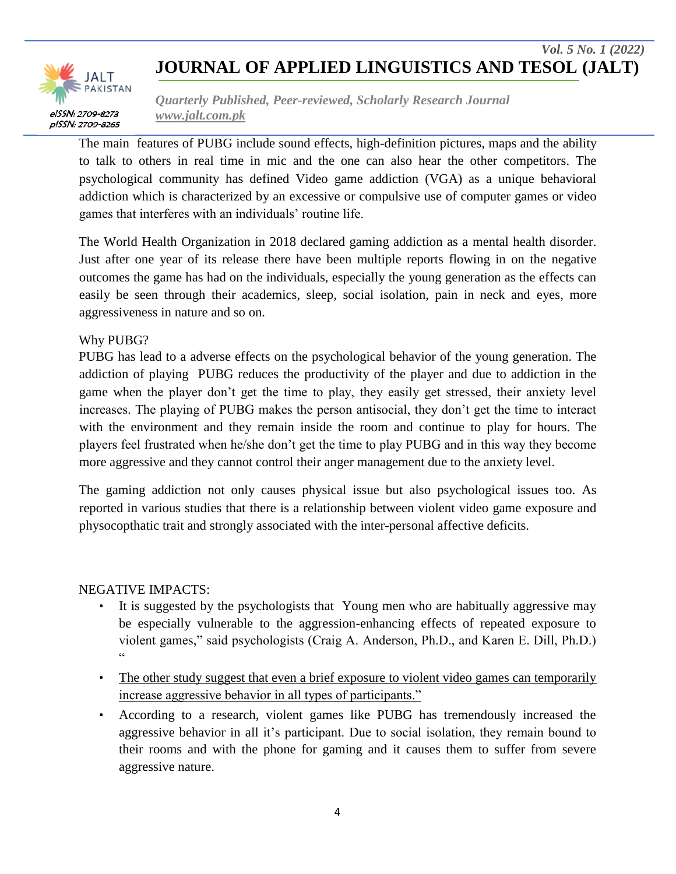

*Quarterly Published, Peer-reviewed, Scholarly Research Journal www.jalt.com.pk*

The main features of PUBG include sound effects, high-definition pictures, maps and the ability to talk to others in real time in mic and the one can also hear the other competitors. The psychological community has defined Video game addiction (VGA) as a unique behavioral addiction which is characterized by an excessive or compulsive use of computer games or video games that interferes with an individuals" routine life.

The World Health Organization in 2018 declared gaming addiction as a mental health disorder. Just after one year of its release there have been multiple reports flowing in on the negative outcomes the game has had on the individuals, especially the young generation as the effects can easily be seen through their academics, sleep, social isolation, pain in neck and eyes, more aggressiveness in nature and so on.

### Why PUBG?

PUBG has lead to a adverse effects on the psychological behavior of the young generation. The addiction of playing PUBG reduces the productivity of the player and due to addiction in the game when the player don"t get the time to play, they easily get stressed, their anxiety level increases. The playing of PUBG makes the person antisocial, they don"t get the time to interact with the environment and they remain inside the room and continue to play for hours. The players feel frustrated when he/she don"t get the time to play PUBG and in this way they become more aggressive and they cannot control their anger management due to the anxiety level.

The gaming addiction not only causes physical issue but also psychological issues too. As reported in various studies that there is a relationship between violent video game exposure and physocopthatic trait and strongly associated with the inter-personal affective deficits.

### NEGATIVE IMPACTS:

- It is suggested by the psychologists that Young men who are habitually aggressive may be especially vulnerable to the aggression-enhancing effects of repeated exposure to violent games," said psychologists (Craig A. Anderson, Ph.D., and Karen E. Dill, Ph.D.)  $\epsilon$
- The other study suggest that even a brief exposure to violent video games can temporarily increase aggressive behavior in all types of participants."
- According to a research, violent games like PUBG has tremendously increased the aggressive behavior in all it's participant. Due to social isolation, they remain bound to their rooms and with the phone for gaming and it causes them to suffer from severe aggressive nature.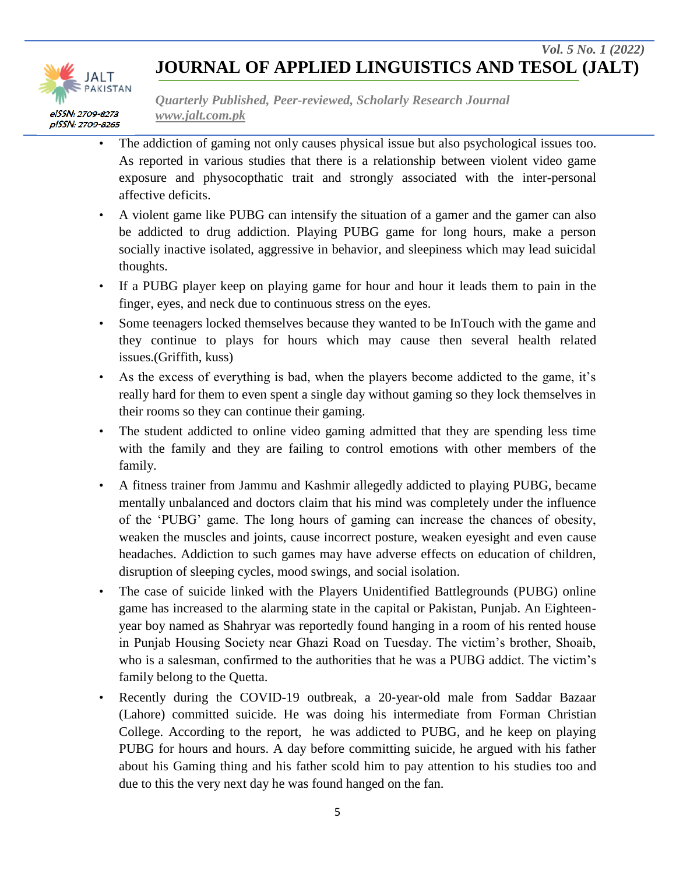

*Quarterly Published, Peer-reviewed, Scholarly Research Journal www.jalt.com.pk*

- The addiction of gaming not only causes physical issue but also psychological issues too. As reported in various studies that there is a relationship between violent video game exposure and physocopthatic trait and strongly associated with the inter-personal affective deficits.
- A violent game like PUBG can intensify the situation of a gamer and the gamer can also be addicted to drug addiction. Playing PUBG game for long hours, make a person socially inactive isolated, aggressive in behavior, and sleepiness which may lead suicidal thoughts.
- If a PUBG player keep on playing game for hour and hour it leads them to pain in the finger, eyes, and neck due to continuous stress on the eyes.
- Some teenagers locked themselves because they wanted to be InTouch with the game and they continue to plays for hours which may cause then several health related issues.(Griffith, kuss)
- As the excess of everything is bad, when the players become addicted to the game, it's really hard for them to even spent a single day without gaming so they lock themselves in their rooms so they can continue their gaming.
- The student addicted to online video gaming admitted that they are spending less time with the family and they are failing to control emotions with other members of the family.
- A fitness trainer from Jammu and Kashmir allegedly addicted to playing PUBG, became mentally unbalanced and doctors claim that his mind was completely under the influence of the "PUBG" game. The long hours of gaming can increase the chances of obesity, weaken the muscles and joints, cause incorrect posture, weaken eyesight and even cause headaches. Addiction to such games may have adverse effects on education of children, disruption of sleeping cycles, mood swings, and social isolation.
- The case of suicide linked with the Players Unidentified Battlegrounds (PUBG) online game has increased to the alarming state in the capital or Pakistan, Punjab. An Eighteenyear boy named as Shahryar was reportedly found hanging in a room of his rented house in Punjab Housing Society near Ghazi Road on Tuesday. The victim"s brother, Shoaib, who is a salesman, confirmed to the authorities that he was a PUBG addict. The victim's family belong to the Quetta.
- Recently during the COVID-19 outbreak, a 20‐year‐old male from Saddar Bazaar (Lahore) committed suicide. He was doing his intermediate from Forman Christian College. According to the report, he was addicted to PUBG, and he keep on playing PUBG for hours and hours. A day before committing suicide, he argued with his father about his Gaming thing and his father scold him to pay attention to his studies too and due to this the very next day he was found hanged on the fan.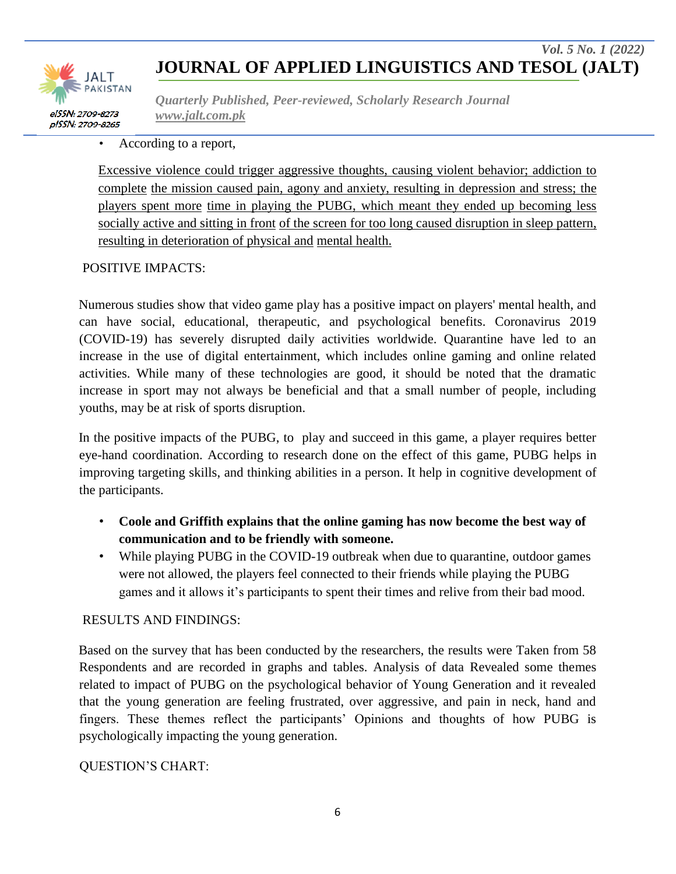

*Quarterly Published, Peer-reviewed, Scholarly Research Journal www.jalt.com.pk*

### According to a report,

Excessive violence could trigger aggressive thoughts, causing violent behavior; addiction to complete the mission caused pain, agony and anxiety, resulting in depression and stress; the players spent more time in playing the PUBG, which meant they ended up becoming less socially active and sitting in front of the screen for too long caused disruption in sleep pattern, resulting in deterioration of physical and mental health.

### POSITIVE IMPACTS:

Numerous studies show that video game play has a positive impact on players' mental health, and can have social, educational, therapeutic, and psychological benefits. Coronavirus 2019 (COVID-19) has severely disrupted daily activities worldwide. Quarantine have led to an increase in the use of digital entertainment, which includes online gaming and online related activities. While many of these technologies are good, it should be noted that the dramatic increase in sport may not always be beneficial and that a small number of people, including youths, may be at risk of sports disruption.

In the positive impacts of the PUBG, to play and succeed in this game, a player requires better eye-hand coordination. According to research done on the effect of this game, PUBG helps in improving targeting skills, and thinking abilities in a person. It help in cognitive development of the participants.

- **Coole and Griffith explains that the online gaming has now become the best way of communication and to be friendly with someone.**
- While playing PUBG in the COVID-19 outbreak when due to quarantine, outdoor games were not allowed, the players feel connected to their friends while playing the PUBG games and it allows it's participants to spent their times and relive from their bad mood.

### RESULTS AND FINDINGS:

Based on the survey that has been conducted by the researchers, the results were Taken from 58 Respondents and are recorded in graphs and tables. Analysis of data Revealed some themes related to impact of PUBG on the psychological behavior of Young Generation and it revealed that the young generation are feeling frustrated, over aggressive, and pain in neck, hand and fingers. These themes reflect the participants" Opinions and thoughts of how PUBG is psychologically impacting the young generation.

### QUESTION"S CHART: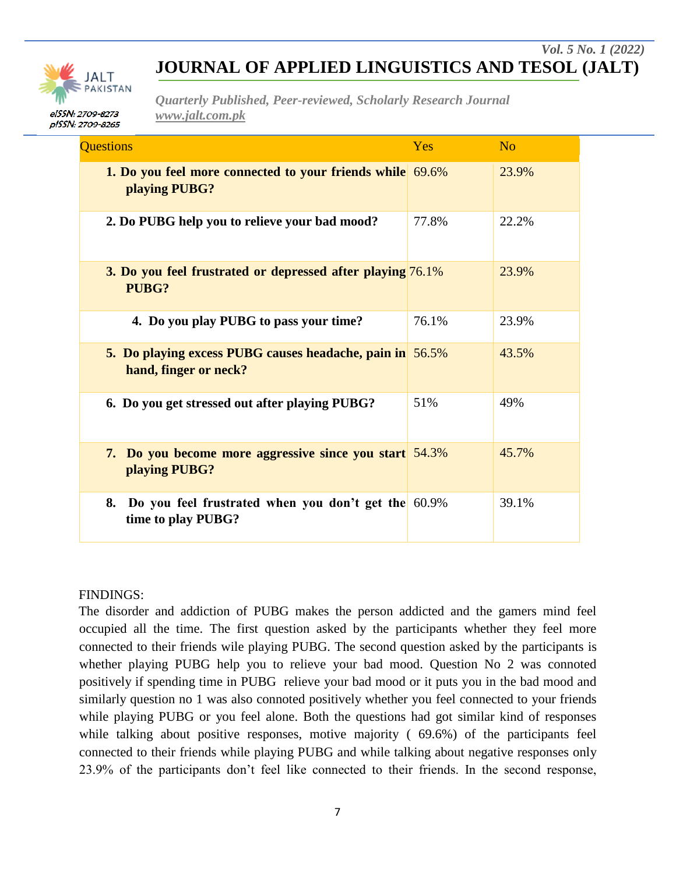

*Quarterly Published, Peer-reviewed, Scholarly Research Journal www.jalt.com.pk*

| <b>Questions</b>                                                                         | Yes   | $\overline{N}$ |
|------------------------------------------------------------------------------------------|-------|----------------|
| 1. Do you feel more connected to your friends while 69.6%<br>playing PUBG?               |       | 23.9%          |
| 2. Do PUBG help you to relieve your bad mood?                                            | 77.8% | 22.2%          |
| <b>3. Do you feel frustrated or depressed after playing 76.1%</b><br>PUBG?               |       | 23.9%          |
| 4. Do you play PUBG to pass your time?                                                   | 76.1% | 23.9%          |
| <b>5. Do playing excess PUBG causes headache, pain in 56.5%</b><br>hand, finger or neck? |       | 43.5%          |
| 6. Do you get stressed out after playing PUBG?                                           | 51%   | 49%            |
| <b>7.</b> Do you become more aggressive since you start 54.3%<br>playing PUBG?           |       | 45.7%          |
| Do you feel frustrated when you don't get the 60.9%<br>8.<br>time to play PUBG?          |       | 39.1%          |

#### FINDINGS:

The disorder and addiction of PUBG makes the person addicted and the gamers mind feel occupied all the time. The first question asked by the participants whether they feel more connected to their friends wile playing PUBG. The second question asked by the participants is whether playing PUBG help you to relieve your bad mood. Question No 2 was connoted positively if spending time in PUBG relieve your bad mood or it puts you in the bad mood and similarly question no 1 was also connoted positively whether you feel connected to your friends while playing PUBG or you feel alone. Both the questions had got similar kind of responses while talking about positive responses, motive majority (69.6%) of the participants feel connected to their friends while playing PUBG and while talking about negative responses only 23.9% of the participants don"t feel like connected to their friends. In the second response,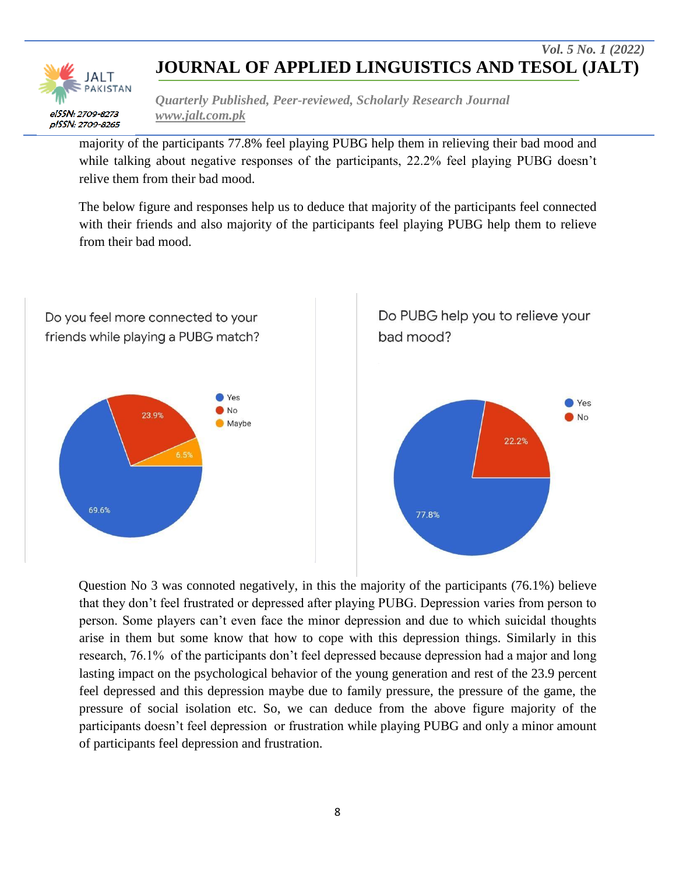

*Quarterly Published, Peer-reviewed, Scholarly Research Journal www.jalt.com.pk*

majority of the participants 77.8% feel playing PUBG help them in relieving their bad mood and while talking about negative responses of the participants, 22.2% feel playing PUBG doesn't relive them from their bad mood.

The below figure and responses help us to deduce that majority of the participants feel connected with their friends and also majority of the participants feel playing PUBG help them to relieve from their bad mood.



Question No 3 was connoted negatively, in this the majority of the participants (76.1%) believe that they don"t feel frustrated or depressed after playing PUBG. Depression varies from person to person. Some players can"t even face the minor depression and due to which suicidal thoughts arise in them but some know that how to cope with this depression things. Similarly in this research, 76.1% of the participants don't feel depressed because depression had a major and long lasting impact on the psychological behavior of the young generation and rest of the 23.9 percent feel depressed and this depression maybe due to family pressure, the pressure of the game, the pressure of social isolation etc. So, we can deduce from the above figure majority of the participants doesn't feel depression or frustration while playing PUBG and only a minor amount of participants feel depression and frustration.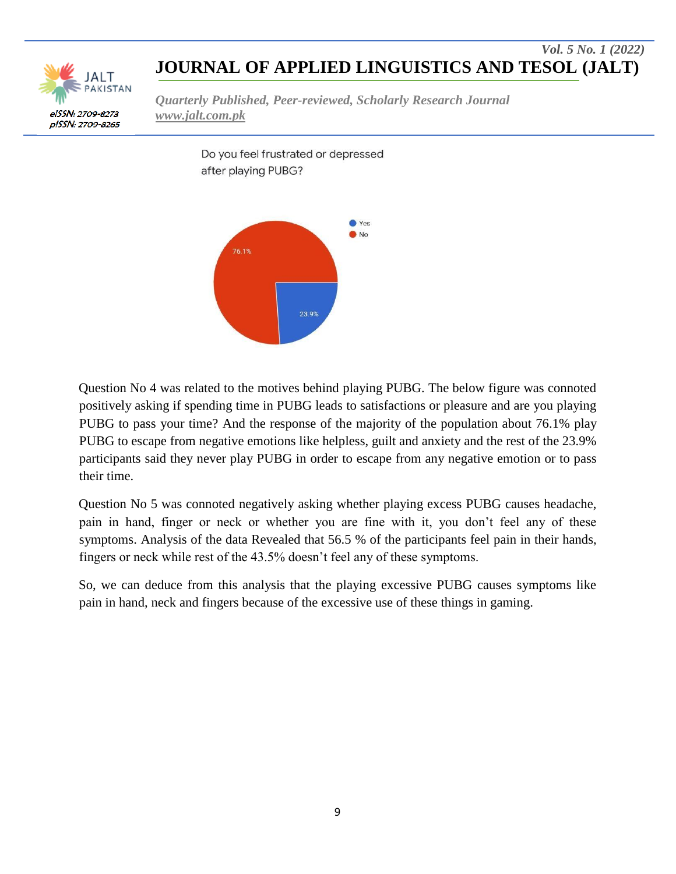

*Quarterly Published, Peer-reviewed, Scholarly Research Journal www.jalt.com.pk*

> Do you feel frustrated or depressed after playing PUBG?



Question No 4 was related to the motives behind playing PUBG. The below figure was connoted positively asking if spending time in PUBG leads to satisfactions or pleasure and are you playing PUBG to pass your time? And the response of the majority of the population about 76.1% play PUBG to escape from negative emotions like helpless, guilt and anxiety and the rest of the 23.9% participants said they never play PUBG in order to escape from any negative emotion or to pass their time.

Question No 5 was connoted negatively asking whether playing excess PUBG causes headache, pain in hand, finger or neck or whether you are fine with it, you don"t feel any of these symptoms. Analysis of the data Revealed that 56.5 % of the participants feel pain in their hands, fingers or neck while rest of the 43.5% doesn"t feel any of these symptoms.

So, we can deduce from this analysis that the playing excessive PUBG causes symptoms like pain in hand, neck and fingers because of the excessive use of these things in gaming.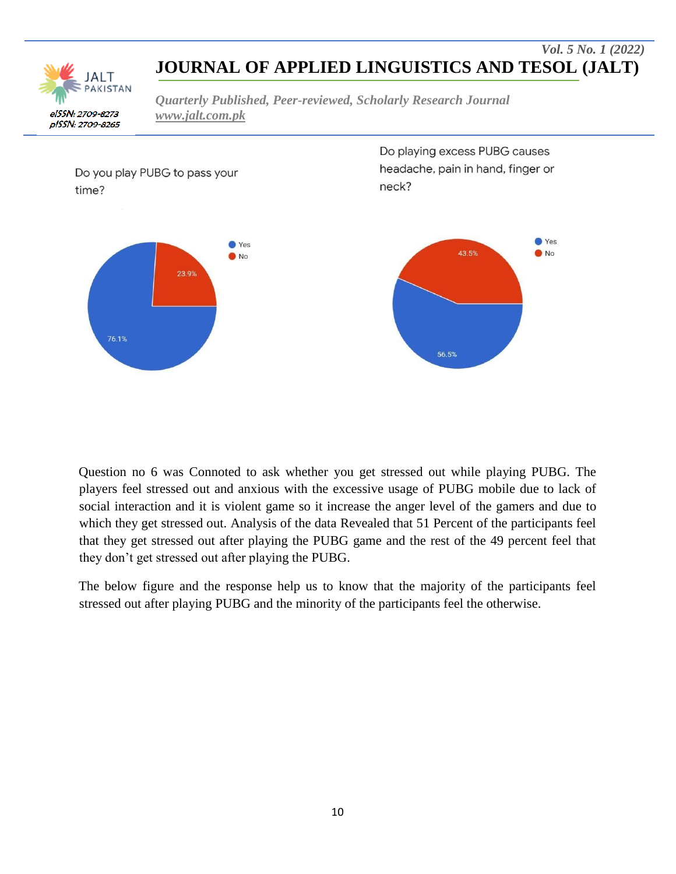PAKISTAN elSSN: 2709-8273 pISSN: 2709-8265

*Quarterly Published, Peer-reviewed, Scholarly Research Journal www.jalt.com.pk*



Question no 6 was Connoted to ask whether you get stressed out while playing PUBG. The players feel stressed out and anxious with the excessive usage of PUBG mobile due to lack of social interaction and it is violent game so it increase the anger level of the gamers and due to which they get stressed out. Analysis of the data Revealed that 51 Percent of the participants feel that they get stressed out after playing the PUBG game and the rest of the 49 percent feel that they don"t get stressed out after playing the PUBG.

The below figure and the response help us to know that the majority of the participants feel stressed out after playing PUBG and the minority of the participants feel the otherwise.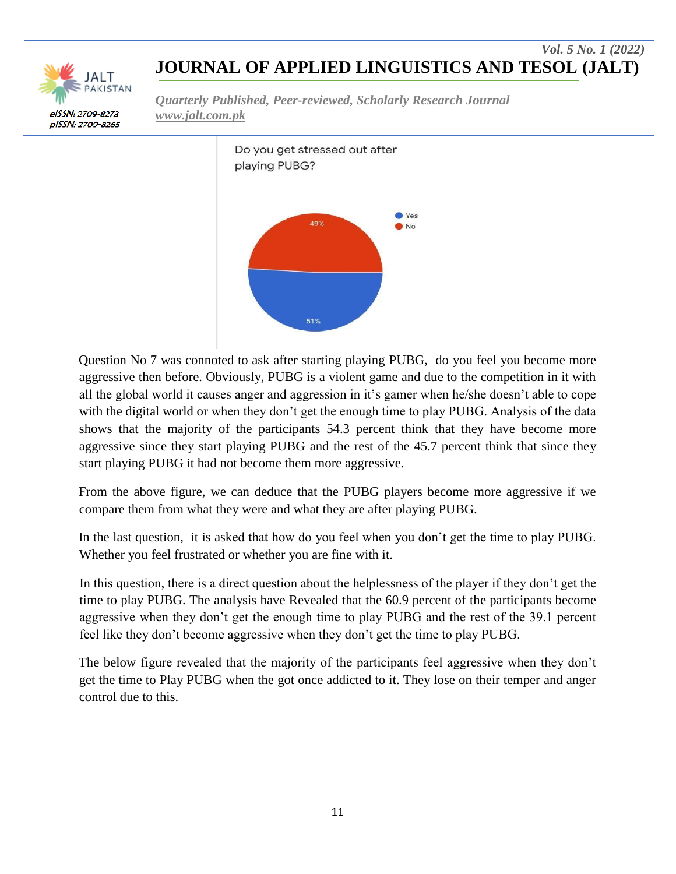

*Quarterly Published, Peer-reviewed, Scholarly Research Journal www.jalt.com.pk*



Question No 7 was connoted to ask after starting playing PUBG, do you feel you become more aggressive then before. Obviously, PUBG is a violent game and due to the competition in it with all the global world it causes anger and aggression in it's gamer when he/she doesn't able to cope with the digital world or when they don't get the enough time to play PUBG. Analysis of the data shows that the majority of the participants 54.3 percent think that they have become more aggressive since they start playing PUBG and the rest of the 45.7 percent think that since they start playing PUBG it had not become them more aggressive.

From the above figure, we can deduce that the PUBG players become more aggressive if we compare them from what they were and what they are after playing PUBG.

In the last question, it is asked that how do you feel when you don"t get the time to play PUBG. Whether you feel frustrated or whether you are fine with it.

In this question, there is a direct question about the helplessness of the player if they don"t get the time to play PUBG. The analysis have Revealed that the 60.9 percent of the participants become aggressive when they don"t get the enough time to play PUBG and the rest of the 39.1 percent feel like they don"t become aggressive when they don"t get the time to play PUBG.

The below figure revealed that the majority of the participants feel aggressive when they don"t get the time to Play PUBG when the got once addicted to it. They lose on their temper and anger control due to this.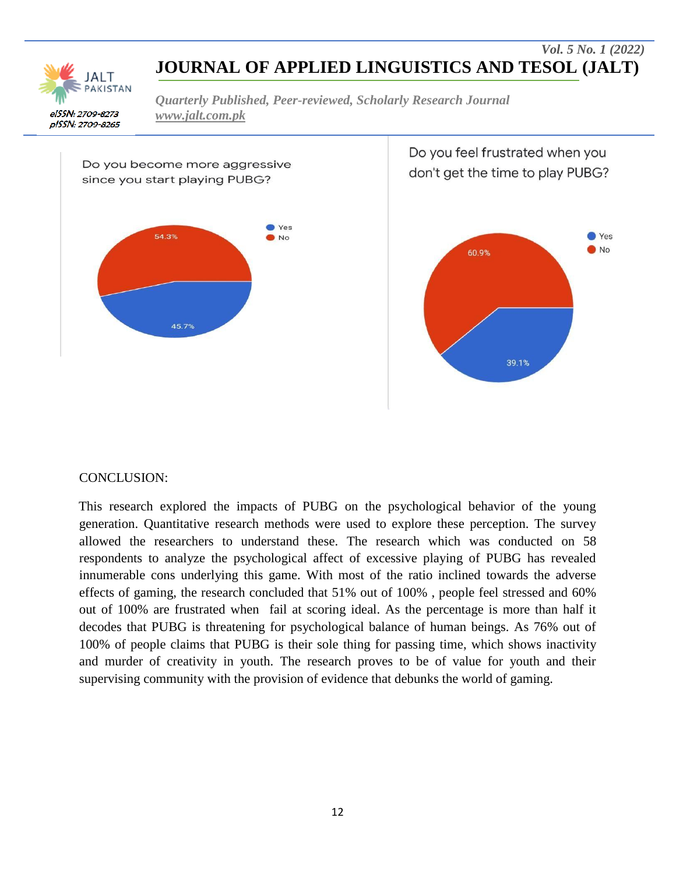

*Quarterly Published, Peer-reviewed, Scholarly Research Journal www.jalt.com.pk*



Do you feel frustrated when you don't get the time to play PUBG?



#### CONCLUSION:

This research explored the impacts of PUBG on the psychological behavior of the young generation. Quantitative research methods were used to explore these perception. The survey allowed the researchers to understand these. The research which was conducted on 58 respondents to analyze the psychological affect of excessive playing of PUBG has revealed innumerable cons underlying this game. With most of the ratio inclined towards the adverse effects of gaming, the research concluded that 51% out of 100% , people feel stressed and 60% out of 100% are frustrated when fail at scoring ideal. As the percentage is more than half it decodes that PUBG is threatening for psychological balance of human beings. As 76% out of 100% of people claims that PUBG is their sole thing for passing time, which shows inactivity and murder of creativity in youth. The research proves to be of value for youth and their supervising community with the provision of evidence that debunks the world of gaming.